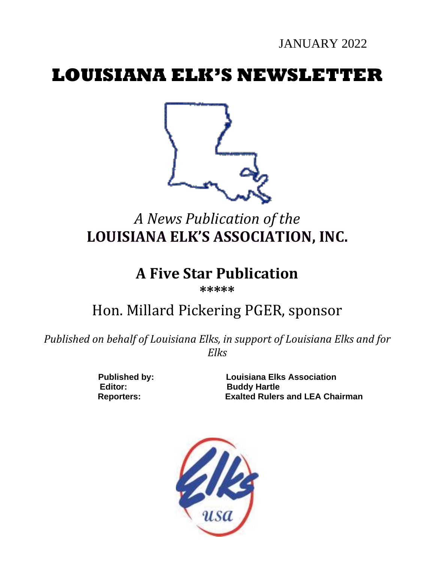JANUARY 2022

# **LOUISIANA ELK'S NEWSLETTER**



# *A News Publication of the* **LOUISIANA ELK'S ASSOCIATION, INC.**

# **A Five Star Publication**

**\*\*\*\*\***

# Hon. Millard Pickering PGER, sponsor

*Published on behalf of Louisiana Elks, in support of Louisiana Elks and for Elks*

Editor: Buddy Hartle

**Published by: Louisiana Elks Association Reporters: Exalted Rulers and LEA Chairman**

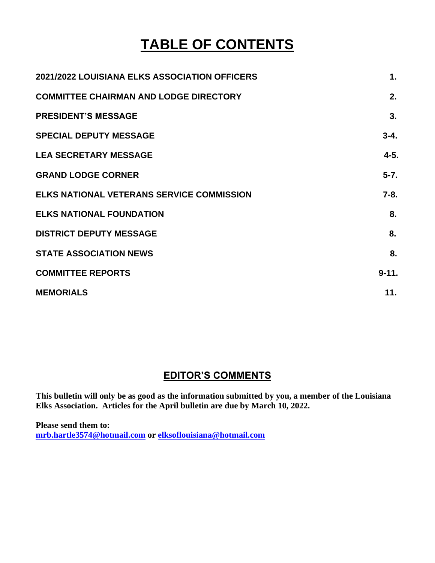# **TABLE OF CONTENTS**

| 2021/2022 LOUISIANA ELKS ASSOCIATION OFFICERS    | 1.        |
|--------------------------------------------------|-----------|
| <b>COMMITTEE CHAIRMAN AND LODGE DIRECTORY</b>    | 2.        |
| <b>PRESIDENT'S MESSAGE</b>                       | 3.        |
| <b>SPECIAL DEPUTY MESSAGE</b>                    | $3 - 4.$  |
| <b>LEA SECRETARY MESSAGE</b>                     | $4 - 5.$  |
| <b>GRAND LODGE CORNER</b>                        | $5 - 7.$  |
| <b>ELKS NATIONAL VETERANS SERVICE COMMISSION</b> | $7 - 8.$  |
| <b>ELKS NATIONAL FOUNDATION</b>                  | 8.        |
| <b>DISTRICT DEPUTY MESSAGE</b>                   | 8.        |
| <b>STATE ASSOCIATION NEWS</b>                    | 8.        |
| <b>COMMITTEE REPORTS</b>                         | $9 - 11.$ |
| <b>MEMORIALS</b>                                 | 11.       |

# **EDITOR'S COMMENTS**

**This bulletin will only be as good as the information submitted by you, a member of the Louisiana Elks Association. Articles for the April bulletin are due by March 10, 2022.** 

**Please send them to: [mrb.hartle3574@hotmail.com](mailto:mrb.hartle3574@hotmail.com) or [elksoflouisiana@hotmail.com](mailto:elksoflouisiana@hotmail.com)**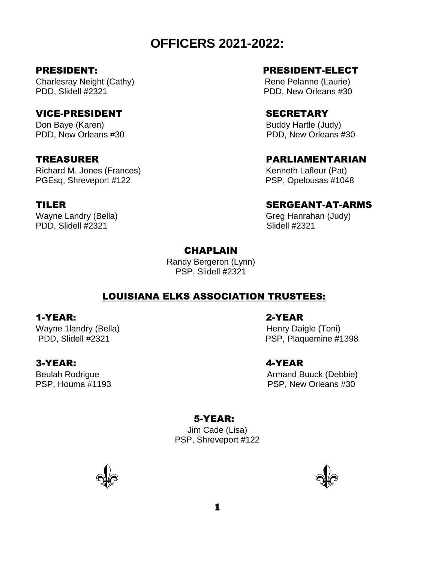# **OFFICERS 2021-2022:**

Charlesray Neight (Cathy) **Rene Pelanne (Laurie)** Rene Pelanne (Laurie) PDD, Slidell #2321 PDD, New Orleans #30

## VICE-PRESIDENT SECRETARY

Don Baye (Karen) Buddy Hartle (Judy) PDD, New Orleans #30 PDD, New Orleans #30

Richard M. Jones (Frances) Kenneth Lafleur (Pat) PGEsq, Shreveport #122 PSP, Opelousas #1048

PDD, Slidell #2321 Slidell #2321

## PRESIDENT: PRESIDENT-ELECT

# TREASURER PARLIAMENTARIAN

## TILER SERGEANT-AT-ARMS

Wayne Landry (Bella) Greg Hanrahan (Judy)

### **CHAPLAIN**

Randy Bergeron (Lynn) PSP, Slidell #2321

## LOUISIANA ELKS ASSOCIATION TRUSTEES:

#### 1-YEAR: 2-YEAR

Wayne 1landry (Bella) **Henry Daigle (Toni)** Henry Daigle (Toni)

#### 3-YEAR: 4-YEAR

PDD, Slidell #2321 PDD, Slidell #2321

Beulah Rodrigue **Armand Buuck** (Debbie) PSP, Houma #1193 PSP, New Orleans #30

## 5-YEAR:

Jim Cade (Lisa) PSP, Shreveport #122



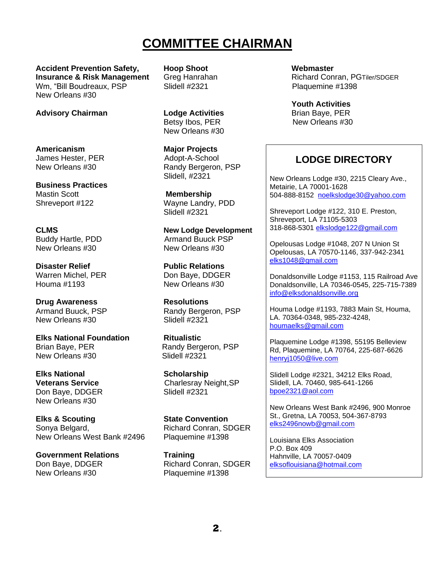# **COMMITTEE CHAIRMAN**

**Accident Prevention Safety, Hoop Shoot Webmaster Insurance & Risk Management** Greg Hanrahan **Richard Conran, PGTiler/SDGER** Wm, "Bill Boudreaux, PSP Slidell #2321 Plaquemine #1398 New Orleans #30

**Advisory Chairman Lodge Activities** Brian Baye, PER<br>Betsy Ibos. PER New Orleans #30 New Orleans #30

New Orleans #30 Randy Bergeron, PSP Slidell, #2321

Shreveport #122 Wayne Landry, PDD Slidell #2321

**CLMS New Lodge Development** Buddy Hartle, PDD Armand Buuck PSP

Armand Buuck, PSP Randy Bergeron, PSP

**Veterans Service**<br>
Don Bave. DDGER<br>
Charlesray Neight, SP<br>
Slidell #2321

Don Baye, DDGER Richard Conran, SDGER

**Youth Activities** New Orleans #30

# **LODGE DIRECTORY**

New Orleans Lodge #30, 2215 Cleary Ave., Metairie, LA 70001-1628 504-888-8152 [noelkslodge30@yahoo.com](mailto:noelkslodge30@yahoo.com)

Shreveport Lodge #122, 310 E. Preston, Shreveport, LA 71105-5303 318-868-5301 [elkslodge122@gmail.com](mailto:elkslodge122@gmail.com)

Opelousas Lodge #1048, 207 N Union St Opelousas, LA 70570-1146, 337-942-2341 [elks1048@gmail.com](mailto:elks1048@gmail.com)

Donaldsonville Lodge #1153, 115 Railroad Ave Donaldsonville, LA 70346-0545, 225-715-7389 [info@elksdonaldsonville.org](mailto:info@elksdonaldsonville.org)

Houma Lodge #1193, 7883 Main St, Houma, LA. 70364-0348, 985-232-4248, [houmaelks@gmail.com](mailto:houmaelks@gmail.com)

Plaquemine Lodge #1398, 55195 Belleview Rd, Plaquemine, LA 70764, 225-687-6626 [henryj1050@live.com](mailto:henryj1050@live.com)

Slidell Lodge #2321, 34212 Elks Road, Slidell, LA. 70460, 985-641-1266 [bpoe2321@aol.com](mailto:bpoe2321@aol.com)

New Orleans West Bank #2496, 900 Monroe St., Gretna, LA 70053, 504-367-8793 [elks2496nowb@gmail.com](mailto:elks2496nowb@gmail.com)

Louisiana Elks Association P.O. Box 409 Hahnville, LA 70057-0409 [elksoflouisiana@hotmail.com](mailto:elksoflouisiana@hotmail.com)

**Americanism Major Projects** James Hester, PER Adopt-A-School

**Business Practices**  Mastin Scott **Membership** 

New Orleans #30 New Orleans #30

**Disaster Relief Public Relations** Warren Michel, PER Don Baye, DDGER Houma #1193 New Orleans #30

**Drug Awareness Resolutions** New Orleans #30 Slidell #2321

**Elks National Foundation Ritualistic** Brian Baye, PER Randy Bergeron, PSP New Orleans #30 Slidell #2321

**Elks National Scholarship** Don Baye, DDGER New Orleans #30

**Elks & Scouting State Convention** Sonya Belgard, The Richard Conran, SDGER New Orleans West Bank #2496 Plaquemine #1398

**Government Relations Training** New Orleans #30 Plaquemine #1398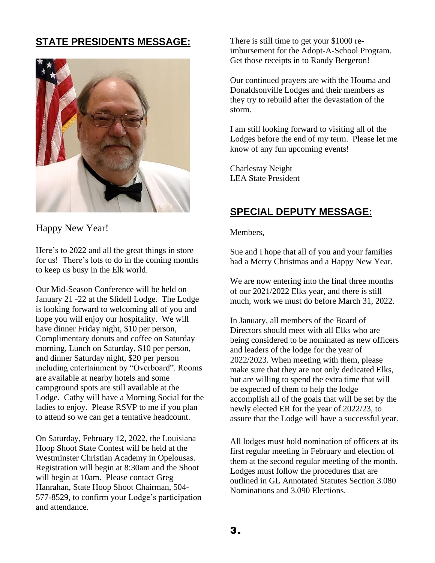# **STATE PRESIDENTS MESSAGE:**



Happy New Year!

Here's to 2022 and all the great things in store for us! There's lots to do in the coming months to keep us busy in the Elk world.

Our Mid-Season Conference will be held on January 21 -22 at the Slidell Lodge. The Lodge is looking forward to welcoming all of you and hope you will enjoy our hospitality. We will have dinner Friday night, \$10 per person, Complimentary donuts and coffee on Saturday morning, Lunch on Saturday, \$10 per person, and dinner Saturday night, \$20 per person including entertainment by "Overboard". Rooms are available at nearby hotels and some campground spots are still available at the Lodge. Cathy will have a Morning Social for the ladies to enjoy. Please RSVP to me if you plan to attend so we can get a tentative headcount.

On Saturday, February 12, 2022, the Louisiana Hoop Shoot State Contest will be held at the Westminster Christian Academy in Opelousas. Registration will begin at 8:30am and the Shoot will begin at 10am. Please contact Greg Hanrahan, State Hoop Shoot Chairman, 504- 577-8529, to confirm your Lodge's participation and attendance.

There is still time to get your \$1000 reimbursement for the Adopt-A-School Program. Get those receipts in to Randy Bergeron!

Our continued prayers are with the Houma and Donaldsonville Lodges and their members as they try to rebuild after the devastation of the storm.

I am still looking forward to visiting all of the Lodges before the end of my term. Please let me know of any fun upcoming events!

Charlesray Neight LEA State President

# **SPECIAL DEPUTY MESSAGE:**

Members,

Sue and I hope that all of you and your families had a Merry Christmas and a Happy New Year.

We are now entering into the final three months of our 2021/2022 Elks year, and there is still much, work we must do before March 31, 2022.

In January, all members of the Board of Directors should meet with all Elks who are being considered to be nominated as new officers and leaders of the lodge for the year of 2022/2023. When meeting with them, please make sure that they are not only dedicated Elks, but are willing to spend the extra time that will be expected of them to help the lodge accomplish all of the goals that will be set by the newly elected ER for the year of 2022/23, to assure that the Lodge will have a successful year.

All lodges must hold nomination of officers at its first regular meeting in February and election of them at the second regular meeting of the month. Lodges must follow the procedures that are outlined in GL Annotated Statutes Section 3.080 Nominations and 3.090 Elections.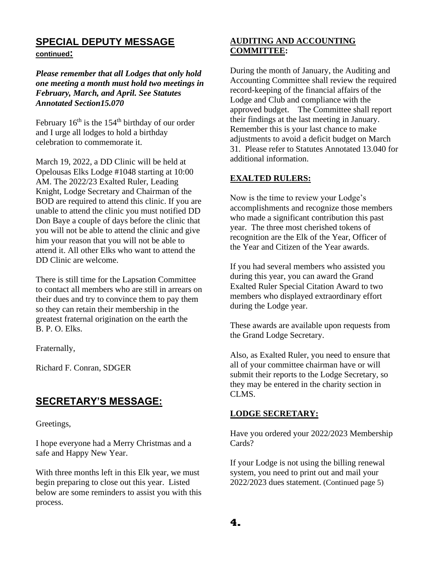# **SPECIAL DEPUTY MESSAGE**

**continued:**

*Please remember that all Lodges that only hold one meeting a month must hold two meetings in February, March, and April. See Statutes Annotated Section15.070*

February  $16<sup>th</sup>$  is the  $154<sup>th</sup>$  birthday of our order and I urge all lodges to hold a birthday celebration to commemorate it.

March 19, 2022, a DD Clinic will be held at Opelousas Elks Lodge #1048 starting at 10:00 AM. The 2022/23 Exalted Ruler, Leading Knight, Lodge Secretary and Chairman of the BOD are required to attend this clinic. If you are unable to attend the clinic you must notified DD Don Baye a couple of days before the clinic that you will not be able to attend the clinic and give him your reason that you will not be able to attend it. All other Elks who want to attend the DD Clinic are welcome.

There is still time for the Lapsation Committee to contact all members who are still in arrears on their dues and try to convince them to pay them so they can retain their membership in the greatest fraternal origination on the earth the B. P. O. Elks.

Fraternally,

Richard F. Conran, SDGER

# **SECRETARY'S MESSAGE:**

Greetings,

I hope everyone had a Merry Christmas and a safe and Happy New Year.

With three months left in this Elk year, we must begin preparing to close out this year. Listed below are some reminders to assist you with this process.

# **AUDITING AND ACCOUNTING COMMITTEE:**

During the month of January, the Auditing and Accounting Committee shall review the required record-keeping of the financial affairs of the Lodge and Club and compliance with the approved budget. The Committee shall report their findings at the last meeting in January. Remember this is your last chance to make adjustments to avoid a deficit budget on March 31. Please refer to Statutes Annotated 13.040 for additional information.

# **EXALTED RULERS:**

Now is the time to review your Lodge's accomplishments and recognize those members who made a significant contribution this past year. The three most cherished tokens of recognition are the Elk of the Year, Officer of the Year and Citizen of the Year awards.

If you had several members who assisted you during this year, you can award the Grand Exalted Ruler Special Citation Award to two members who displayed extraordinary effort during the Lodge year.

These awards are available upon requests from the Grand Lodge Secretary.

Also, as Exalted Ruler, you need to ensure that all of your committee chairman have or will submit their reports to the Lodge Secretary, so they may be entered in the charity section in CLMS.

## **LODGE SECRETARY:**

Have you ordered your 2022/2023 Membership Cards?

If your Lodge is not using the billing renewal system, you need to print out and mail your 2022/2023 dues statement. (Continued page 5)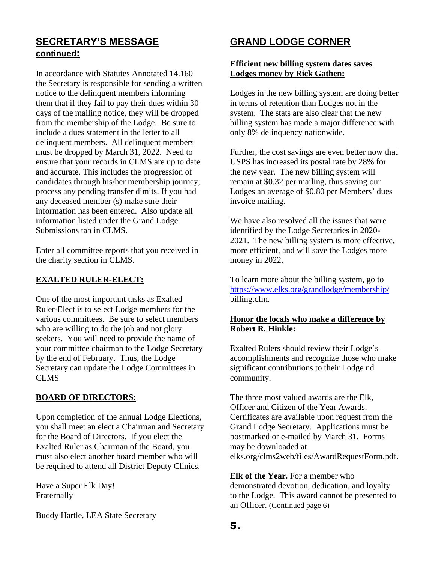# **SECRETARY'S MESSAGE continued:**

In accordance with Statutes Annotated 14.160 the Secretary is responsible for sending a written notice to the delinquent members informing them that if they fail to pay their dues within 30 days of the mailing notice, they will be dropped from the membership of the Lodge. Be sure to include a dues statement in the letter to all delinquent members. All delinquent members must be dropped by March 31, 2022. Need to ensure that your records in CLMS are up to date and accurate. This includes the progression of candidates through his/her membership journey; process any pending transfer dimits. If you had any deceased member (s) make sure their information has been entered. Also update all information listed under the Grand Lodge Submissions tab in CLMS.

Enter all committee reports that you received in the charity section in CLMS.

#### **EXALTED RULER-ELECT:**

One of the most important tasks as Exalted Ruler-Elect is to select Lodge members for the various committees. Be sure to select members who are willing to do the job and not glory seekers. You will need to provide the name of your committee chairman to the Lodge Secretary by the end of February. Thus, the Lodge Secretary can update the Lodge Committees in CLMS

#### **BOARD OF DIRECTORS:**

Upon completion of the annual Lodge Elections, you shall meet an elect a Chairman and Secretary for the Board of Directors. If you elect the Exalted Ruler as Chairman of the Board, you must also elect another board member who will be required to attend all District Deputy Clinics.

Have a Super Elk Day! Fraternally

Buddy Hartle, LEA State Secretary

# **GRAND LODGE CORNER**

#### **Efficient new billing system dates saves Lodges money by Rick Gathen:**

Lodges in the new billing system are doing better in terms of retention than Lodges not in the system. The stats are also clear that the new billing system has made a major difference with only 8% delinquency nationwide.

Further, the cost savings are even better now that USPS has increased its postal rate by 28% for the new year. The new billing system will remain at \$0.32 per mailing, thus saving our Lodges an average of \$0.80 per Members' dues invoice mailing.

We have also resolved all the issues that were identified by the Lodge Secretaries in 2020- 2021. The new billing system is more effective, more efficient, and will save the Lodges more money in 2022.

To learn more about the billing system, go to <https://www.elks.org/grandlodge/membership/> billing.cfm.

## **Honor the locals who make a difference by Robert R. Hinkle:**

Exalted Rulers should review their Lodge's accomplishments and recognize those who make significant contributions to their Lodge nd community.

The three most valued awards are the Elk, Officer and Citizen of the Year Awards. Certificates are available upon request from the Grand Lodge Secretary. Applications must be postmarked or e-mailed by March 31. Forms may be downloaded at elks.org/clms2web/files/AwardRequestForm.pdf.

**Elk of the Year.** For a member who demonstrated devotion, dedication, and loyalty to the Lodge. This award cannot be presented to an Officer. (Continued page 6)

**5.**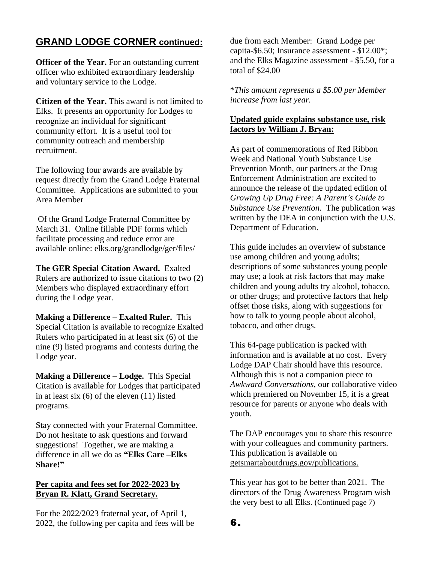# **GRAND LODGE CORNER continued:**

**Officer of the Year.** For an outstanding current officer who exhibited extraordinary leadership and voluntary service to the Lodge.

**Citizen of the Year.** This award is not limited to Elks. It presents an opportunity for Lodges to recognize an individual for significant community effort. It is a useful tool for community outreach and membership recruitment.

The following four awards are available by request directly from the Grand Lodge Fraternal Committee. Applications are submitted to your Area Member

Of the Grand Lodge Fraternal Committee by March 31. Online fillable PDF forms which facilitate processing and reduce error are available online: elks.org/grandlodge/ger/files/

**The GER Special Citation Award.** Exalted Rulers are authorized to issue citations to two (2) Members who displayed extraordinary effort during the Lodge year.

**Making a Difference – Exalted Ruler.** This Special Citation is available to recognize Exalted Rulers who participated in at least six (6) of the nine (9) listed programs and contests during the Lodge year.

**Making a Difference – Lodge.** This Special Citation is available for Lodges that participated in at least six (6) of the eleven (11) listed programs.

Stay connected with your Fraternal Committee. Do not hesitate to ask questions and forward suggestions! Together, we are making a difference in all we do as **"Elks Care –Elks Share!"**

## **Per capita and fees set for 2022-2023 by Bryan R. Klatt, Grand Secretary.**

For the 2022/2023 fraternal year, of April 1, 2022, the following per capita and fees will be due from each Member: Grand Lodge per capita-\$6.50; Insurance assessment - \$12.00\*; and the Elks Magazine assessment - \$5.50, for a total of \$24.00

\**This amount represents a \$5.00 per Member increase from last year.*

### **Updated guide explains substance use, risk factors by William J. Bryan:**

As part of commemorations of Red Ribbon Week and National Youth Substance Use Prevention Month, our partners at the Drug Enforcement Administration are excited to announce the release of the updated edition of *Growing Up Drug Free: A Parent's Guide to Substance Use Prevention.* The publication was written by the DEA in conjunction with the U.S. Department of Education.

This guide includes an overview of substance use among children and young adults; descriptions of some substances young people may use; a look at risk factors that may make children and young adults try alcohol, tobacco, or other drugs; and protective factors that help offset those risks, along with suggestions for how to talk to young people about alcohol, tobacco, and other drugs.

This 64-page publication is packed with information and is available at no cost. Every Lodge DAP Chair should have this resource. Although this is not a companion piece to *Awkward Conversations,* our collaborative video which premiered on November 15, it is a great resource for parents or anyone who deals with youth.

The DAP encourages you to share this resource with your colleagues and community partners. This publication is available on getsmartaboutdrugs.gov/publications.

This year has got to be better than 2021. The directors of the Drug Awareness Program wish the very best to all Elks. (Continued page 7)

**6.**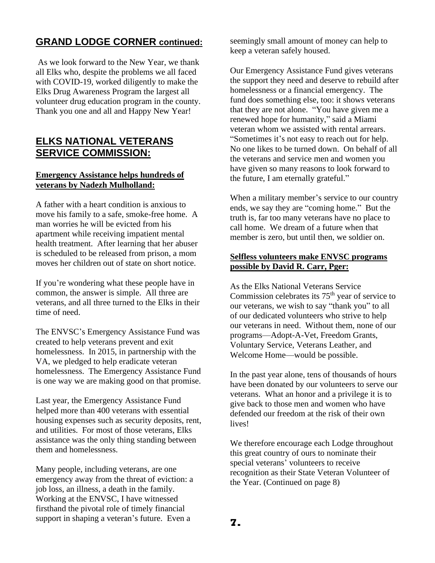# **GRAND LODGE CORNER continued:**

As we look forward to the New Year, we thank all Elks who, despite the problems we all faced with COVID-19, worked diligently to make the Elks Drug Awareness Program the largest all volunteer drug education program in the county. Thank you one and all and Happy New Year!

# **ELKS NATIONAL VETERANS SERVICE COMMISSION:**

#### **Emergency Assistance helps hundreds of veterans by Nadezh Mulholland:**

A father with a heart condition is anxious to move his family to a safe, smoke-free home. A man worries he will be evicted from his apartment while receiving impatient mental health treatment. After learning that her abuser is scheduled to be released from prison, a mom moves her children out of state on short notice.

If you're wondering what these people have in common, the answer is simple. All three are veterans, and all three turned to the Elks in their time of need.

The ENVSC's Emergency Assistance Fund was created to help veterans prevent and exit homelessness. In 2015, in partnership with the VA, we pledged to help eradicate veteran homelessness. The Emergency Assistance Fund is one way we are making good on that promise.

Last year, the Emergency Assistance Fund helped more than 400 veterans with essential housing expenses such as security deposits, rent, and utilities. For most of those veterans, Elks assistance was the only thing standing between them and homelessness.

Many people, including veterans, are one emergency away from the threat of eviction: a job loss, an illness, a death in the family. Working at the ENVSC, I have witnessed firsthand the pivotal role of timely financial support in shaping a veteran's future. Even a

seemingly small amount of money can help to keep a veteran safely housed.

Our Emergency Assistance Fund gives veterans the support they need and deserve to rebuild after homelessness or a financial emergency. The fund does something else, too: it shows veterans that they are not alone. "You have given me a renewed hope for humanity," said a Miami veteran whom we assisted with rental arrears. "Sometimes it's not easy to reach out for help. No one likes to be turned down. On behalf of all the veterans and service men and women you have given so many reasons to look forward to the future, I am eternally grateful."

When a military member's service to our country ends, we say they are "coming home." But the truth is, far too many veterans have no place to call home. We dream of a future when that member is zero, but until then, we soldier on.

#### **Selfless volunteers make ENVSC programs possible by David R. Carr, Pger:**

As the Elks National Veterans Service Commission celebrates its 75<sup>th</sup> year of service to our veterans, we wish to say "thank you" to all of our dedicated volunteers who strive to help our veterans in need. Without them, none of our programs—Adopt-A-Vet, Freedom Grants, Voluntary Service, Veterans Leather, and Welcome Home—would be possible.

In the past year alone, tens of thousands of hours have been donated by our volunteers to serve our veterans. What an honor and a privilege it is to give back to those men and women who have defended our freedom at the risk of their own lives!

We therefore encourage each Lodge throughout this great country of ours to nominate their special veterans' volunteers to receive recognition as their State Veteran Volunteer of the Year. (Continued on page 8)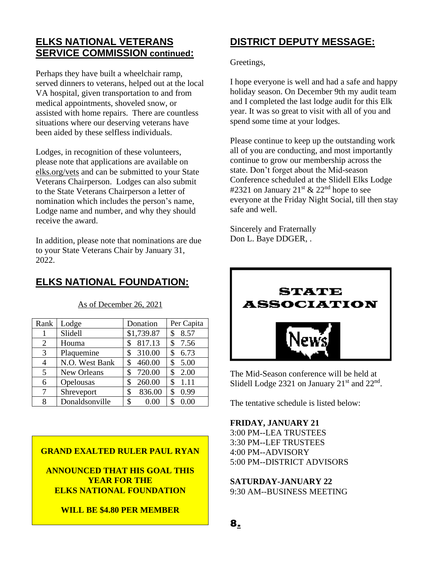# **ELKS NATIONAL VETERANS SERVICE COMMISSION continued:**

Perhaps they have built a wheelchair ramp, served dinners to veterans, helped out at the local VA hospital, given transportation to and from medical appointments, shoveled snow, or assisted with home repairs. There are countless situations where our deserving veterans have been aided by these selfless individuals.

Lodges, in recognition of these volunteers, please note that applications are available on elks.org/vets and can be submitted to your State Veterans Chairperson. Lodges can also submit to the State Veterans Chairperson a letter of nomination which includes the person's name, Lodge name and number, and why they should receive the award.

In addition, please note that nominations are due to your State Veterans Chair by January 31, 2022.

# **ELKS NATIONAL FOUNDATION:**

| Rank | Lodge          | Donation     | Per Capita |
|------|----------------|--------------|------------|
| 1    | Slidell        | \$1,739.87   | 8.57<br>\$ |
| 2    | Houma          | 817.13<br>\$ | 7.56       |
| 3    | Plaquemine     | 310.00<br>\$ | 6.73<br>\$ |
| 4    | N.O. West Bank | 460.00       | 5.00<br>\$ |
| 5    | New Orleans    | 720.00       | 2.00<br>\$ |
| 6    | Opelousas      | 260.00<br>\$ | 1.11<br>\$ |
| 7    | Shreveport     | 836.00<br>\$ | 0.99<br>\$ |
| 8    | Donaldsonville | 0.00<br>\$   | 0.00       |
|      |                |              |            |

As of December 26, 2021

# **DISTRICT DEPUTY MESSAGE:**

Greetings,

I hope everyone is well and had a safe and happy holiday season. On December 9th my audit team and I completed the last lodge audit for this Elk year. It was so great to visit with all of you and spend some time at your lodges.

Please continue to keep up the outstanding work all of you are conducting, and most importantly continue to grow our membership across the state. Don't forget about the Mid-season Conference scheduled at the Slidell Elks Lodge #2321 on January 21<sup>st</sup> & 22<sup>nd</sup> hope to see everyone at the Friday Night Social, till then stay safe and well.

Sincerely and Fraternally Don L. Baye DDGER, .



The Mid-Season conference will be held at Slidell Lodge 2321 on January  $21<sup>st</sup>$  and  $22<sup>nd</sup>$ .

The tentative schedule is listed below:

#### **FRIDAY, JANUARY 21**

**8.**

3:00 PM--LEA TRUSTEES 3:30 PM--LEF TRUSTEES 4:00 PM--ADVISORY 5:00 PM--DISTRICT ADVISORS

**SATURDAY-JANUARY 22** 9:30 AM--BUSINESS MEETING

## **GRAND EXALTED RULER PAUL RYAN**

**ANNOUNCED THAT HIS GOAL THIS YEAR FOR THE ELKS NATIONAL FOUNDATION** 

### **WILL BE \$4.80 PER MEMBER**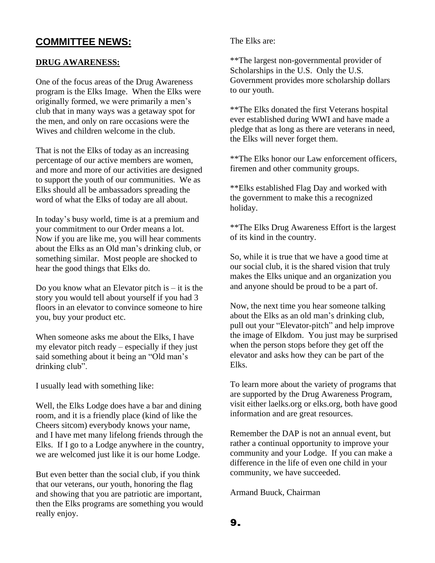# **COMMITTEE NEWS:**

## **DRUG AWARENESS:**

One of the focus areas of the Drug Awareness program is the Elks Image. When the Elks were originally formed, we were primarily a men's club that in many ways was a getaway spot for the men, and only on rare occasions were the Wives and children welcome in the club.

That is not the Elks of today as an increasing percentage of our active members are women, and more and more of our activities are designed to support the youth of our communities. We as Elks should all be ambassadors spreading the word of what the Elks of today are all about.

In today's busy world, time is at a premium and your commitment to our Order means a lot. Now if you are like me, you will hear comments about the Elks as an Old man's drinking club, or something similar. Most people are shocked to hear the good things that Elks do.

Do you know what an Elevator pitch is  $-$  it is the story you would tell about yourself if you had 3 floors in an elevator to convince someone to hire you, buy your product etc.

When someone asks me about the Elks, I have my elevator pitch ready – especially if they just said something about it being an "Old man's drinking club".

I usually lead with something like:

Well, the Elks Lodge does have a bar and dining room, and it is a friendly place (kind of like the Cheers sitcom) everybody knows your name, and I have met many lifelong friends through the Elks. If I go to a Lodge anywhere in the country, we are welcomed just like it is our home Lodge.

But even better than the social club, if you think that our veterans, our youth, honoring the flag and showing that you are patriotic are important, then the Elks programs are something you would really enjoy.

The Elks are:

\*\*The largest non-governmental provider of Scholarships in the U.S. Only the U.S. Government provides more scholarship dollars to our youth.

\*\*The Elks donated the first Veterans hospital ever established during WWI and have made a pledge that as long as there are veterans in need, the Elks will never forget them.

\*\*The Elks honor our Law enforcement officers, firemen and other community groups.

\*\*Elks established Flag Day and worked with the government to make this a recognized holiday.

\*\*The Elks Drug Awareness Effort is the largest of its kind in the country.

So, while it is true that we have a good time at our social club, it is the shared vision that truly makes the Elks unique and an organization you and anyone should be proud to be a part of.

Now, the next time you hear someone talking about the Elks as an old man's drinking club, pull out your "Elevator-pitch" and help improve the image of Elkdom. You just may be surprised when the person stops before they get off the elevator and asks how they can be part of the Elks.

To learn more about the variety of programs that are supported by the Drug Awareness Program, visit either laelks.org or elks.org, both have good information and are great resources.

Remember the DAP is not an annual event, but rather a continual opportunity to improve your community and your Lodge. If you can make a difference in the life of even one child in your community, we have succeeded.

Armand Buuck, Chairman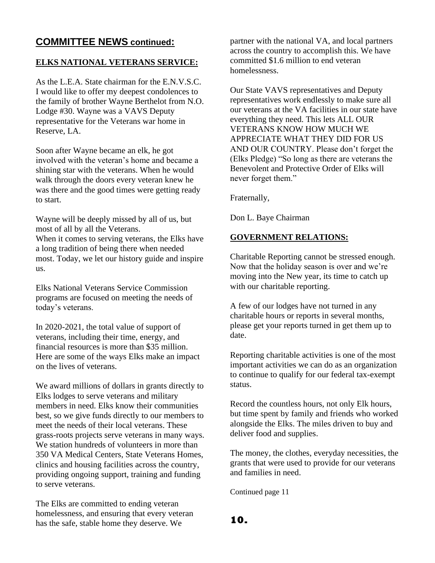# **COMMITTEE NEWS continued:**

### **ELKS NATIONAL VETERANS SERVICE:**

As the L.E.A. State chairman for the E.N.V.S.C. I would like to offer my deepest condolences to the family of brother Wayne Berthelot from N.O. Lodge #30. Wayne was a VAVS Deputy representative for the Veterans war home in Reserve, LA.

Soon after Wayne became an elk, he got involved with the veteran's home and became a shining star with the veterans. When he would walk through the doors every veteran knew he was there and the good times were getting ready to start.

Wayne will be deeply missed by all of us, but most of all by all the Veterans.

When it comes to serving veterans, the Elks have a long tradition of being there when needed most. Today, we let our history guide and inspire us.

Elks National Veterans Service Commission programs are focused on meeting the needs of today's veterans.

In 2020-2021, the total value of support of veterans, including their time, energy, and financial resources is more than \$35 million. Here are some of the ways Elks make an impact on the lives of veterans.

We award millions of dollars in grants directly to Elks lodges to serve veterans and military members in need. Elks know their communities best, so we give funds directly to our members to meet the needs of their local veterans. These grass-roots projects serve veterans in many ways. We station hundreds of volunteers in more than 350 VA Medical Centers, State Veterans Homes, clinics and housing facilities across the country, providing ongoing support, training and funding to serve veterans.

The Elks are committed to ending veteran homelessness, and ensuring that every veteran has the safe, stable home they deserve. We

partner with the national VA, and local partners across the country to accomplish this. We have committed \$1.6 million to end veteran homelessness.

Our State VAVS representatives and Deputy representatives work endlessly to make sure all our veterans at the VA facilities in our state have everything they need. This lets ALL OUR VETERANS KNOW HOW MUCH WE APPRECIATE WHAT THEY DID FOR US AND OUR COUNTRY. Please don't forget the (Elks Pledge) "So long as there are veterans the Benevolent and Protective Order of Elks will never forget them."

Fraternally,

Don L. Baye Chairman

# **GOVERNMENT RELATIONS:**

Charitable Reporting cannot be stressed enough. Now that the holiday season is over and we're moving into the New year, its time to catch up with our charitable reporting.

A few of our lodges have not turned in any charitable hours or reports in several months, please get your reports turned in get them up to date.

Reporting charitable activities is one of the most important activities we can do as an organization to continue to qualify for our federal tax-exempt status.

Record the countless hours, not only Elk hours, but time spent by family and friends who worked alongside the Elks. The miles driven to buy and deliver food and supplies.

The money, the clothes, everyday necessities, the grants that were used to provide for our veterans and families in need.

Continued page 11

**10.**